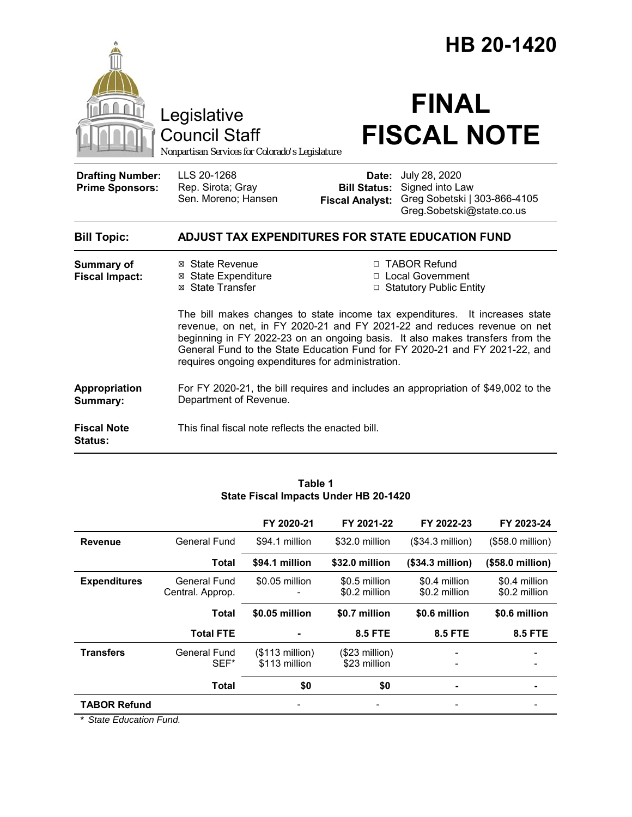|                                                   |                                                                                                                                                                                                                                                                                                                                                                              |                                                                   | HB 20-1420                                                                                                        |  |
|---------------------------------------------------|------------------------------------------------------------------------------------------------------------------------------------------------------------------------------------------------------------------------------------------------------------------------------------------------------------------------------------------------------------------------------|-------------------------------------------------------------------|-------------------------------------------------------------------------------------------------------------------|--|
|                                                   | Legislative<br><b>Council Staff</b><br>Nonpartisan Services for Colorado's Legislature                                                                                                                                                                                                                                                                                       |                                                                   | <b>FINAL</b><br><b>FISCAL NOTE</b>                                                                                |  |
| <b>Drafting Number:</b><br><b>Prime Sponsors:</b> | LLS 20-1268<br>Rep. Sirota; Gray<br>Sen. Moreno; Hansen                                                                                                                                                                                                                                                                                                                      | Date:<br><b>Fiscal Analyst:</b>                                   | July 28, 2020<br><b>Bill Status:</b> Signed into Law<br>Greg Sobetski   303-866-4105<br>Greg.Sobetski@state.co.us |  |
| <b>Bill Topic:</b>                                | <b>ADJUST TAX EXPENDITURES FOR STATE EDUCATION FUND</b>                                                                                                                                                                                                                                                                                                                      |                                                                   |                                                                                                                   |  |
| <b>Summary of</b><br><b>Fiscal Impact:</b>        | ⊠ State Revenue<br><b>⊠ State Expenditure</b><br>⊠ State Transfer                                                                                                                                                                                                                                                                                                            | □ TABOR Refund<br>□ Local Government<br>□ Statutory Public Entity |                                                                                                                   |  |
|                                                   | The bill makes changes to state income tax expenditures. It increases state<br>revenue, on net, in FY 2020-21 and FY 2021-22 and reduces revenue on net<br>beginning in FY 2022-23 on an ongoing basis. It also makes transfers from the<br>General Fund to the State Education Fund for FY 2020-21 and FY 2021-22, and<br>requires ongoing expenditures for administration. |                                                                   |                                                                                                                   |  |
| Appropriation<br>Summary:                         | For FY 2020-21, the bill requires and includes an appropriation of \$49,002 to the<br>Department of Revenue.                                                                                                                                                                                                                                                                 |                                                                   |                                                                                                                   |  |
| <b>Fiscal Note</b><br>Status:                     | This final fiscal note reflects the enacted bill.                                                                                                                                                                                                                                                                                                                            |                                                                   |                                                                                                                   |  |

|                     |                                  | FY 2020-21                        | FY 2021-22                      | FY 2022-23                     | FY 2023-24                     |
|---------------------|----------------------------------|-----------------------------------|---------------------------------|--------------------------------|--------------------------------|
| <b>Revenue</b>      | General Fund                     | \$94.1 million                    | \$32.0 million                  | $($34.3$ million)              | (\$58.0 million)               |
|                     | <b>Total</b>                     | \$94.1 million                    | \$32.0 million                  | (\$34.3 million)               | (\$58.0 million)               |
| <b>Expenditures</b> | General Fund<br>Central. Approp. | \$0.05 million                    | \$0.5 million<br>\$0.2 million  | \$0.4 million<br>\$0.2 million | \$0.4 million<br>\$0.2 million |
|                     | Total                            | \$0.05 million                    | \$0.7 million                   | \$0.6 million                  | \$0.6 million                  |
|                     | <b>Total FTE</b>                 |                                   | <b>8.5 FTE</b>                  | <b>8.5 FTE</b>                 | <b>8.5 FTE</b>                 |
| <b>Transfers</b>    | General Fund<br>SEF*             | $($113$ million)<br>\$113 million | $($23$ million)<br>\$23 million |                                |                                |
|                     | <b>Total</b>                     | \$0                               | \$0                             |                                |                                |
| <b>TABOR Refund</b> |                                  |                                   |                                 |                                |                                |

#### **Table 1 State Fiscal Impacts Under HB 20-1420**

*\* State Education Fund.*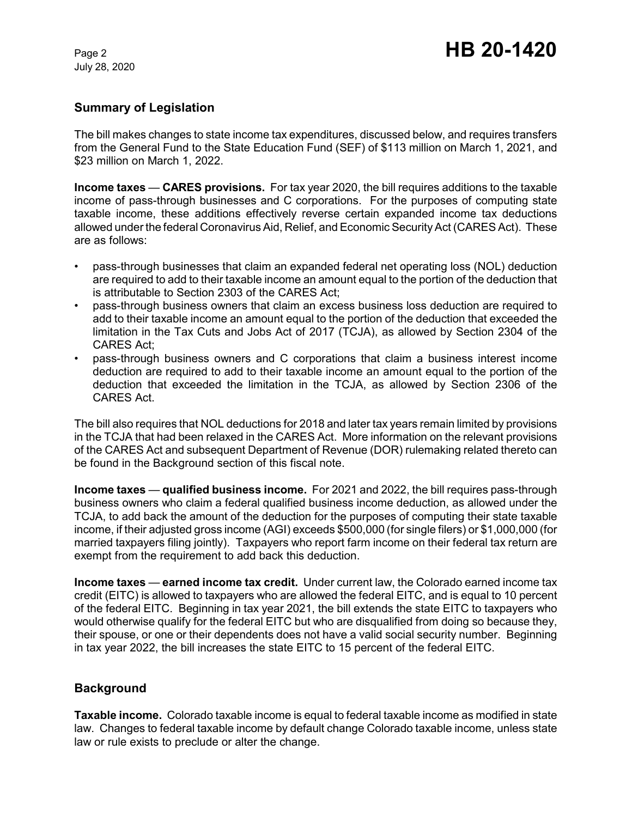# **Summary of Legislation**

The bill makes changes to state income tax expenditures, discussed below, and requires transfers from the General Fund to the State Education Fund (SEF) of \$113 million on March 1, 2021, and \$23 million on March 1, 2022.

**Income taxes** — **CARES provisions.** For tax year 2020, the bill requires additions to the taxable income of pass-through businesses and C corporations. For the purposes of computing state taxable income, these additions effectively reverse certain expanded income tax deductions allowed under the federal Coronavirus Aid, Relief, and Economic Security Act (CARES Act). These are as follows:

- pass-through businesses that claim an expanded federal net operating loss (NOL) deduction are required to add to their taxable income an amount equal to the portion of the deduction that is attributable to Section 2303 of the CARES Act;
- pass-through business owners that claim an excess business loss deduction are required to add to their taxable income an amount equal to the portion of the deduction that exceeded the limitation in the Tax Cuts and Jobs Act of 2017 (TCJA), as allowed by Section 2304 of the CARES Act;
- pass-through business owners and C corporations that claim a business interest income deduction are required to add to their taxable income an amount equal to the portion of the deduction that exceeded the limitation in the TCJA, as allowed by Section 2306 of the CARES Act.

The bill also requires that NOL deductions for 2018 and later tax years remain limited by provisions in the TCJA that had been relaxed in the CARES Act. More information on the relevant provisions of the CARES Act and subsequent Department of Revenue (DOR) rulemaking related thereto can be found in the Background section of this fiscal note.

**Income taxes** — **qualified business income.** For 2021 and 2022, the bill requires pass-through business owners who claim a federal qualified business income deduction, as allowed under the TCJA, to add back the amount of the deduction for the purposes of computing their state taxable income, if their adjusted gross income (AGI) exceeds \$500,000 (for single filers) or \$1,000,000 (for married taxpayers filing jointly). Taxpayers who report farm income on their federal tax return are exempt from the requirement to add back this deduction.

**Income taxes** — **earned income tax credit.** Under current law, the Colorado earned income tax credit (EITC) is allowed to taxpayers who are allowed the federal EITC, and is equal to 10 percent of the federal EITC. Beginning in tax year 2021, the bill extends the state EITC to taxpayers who would otherwise qualify for the federal EITC but who are disqualified from doing so because they, their spouse, or one or their dependents does not have a valid social security number. Beginning in tax year 2022, the bill increases the state EITC to 15 percent of the federal EITC.

# **Background**

**Taxable income.** Colorado taxable income is equal to federal taxable income as modified in state law. Changes to federal taxable income by default change Colorado taxable income, unless state law or rule exists to preclude or alter the change.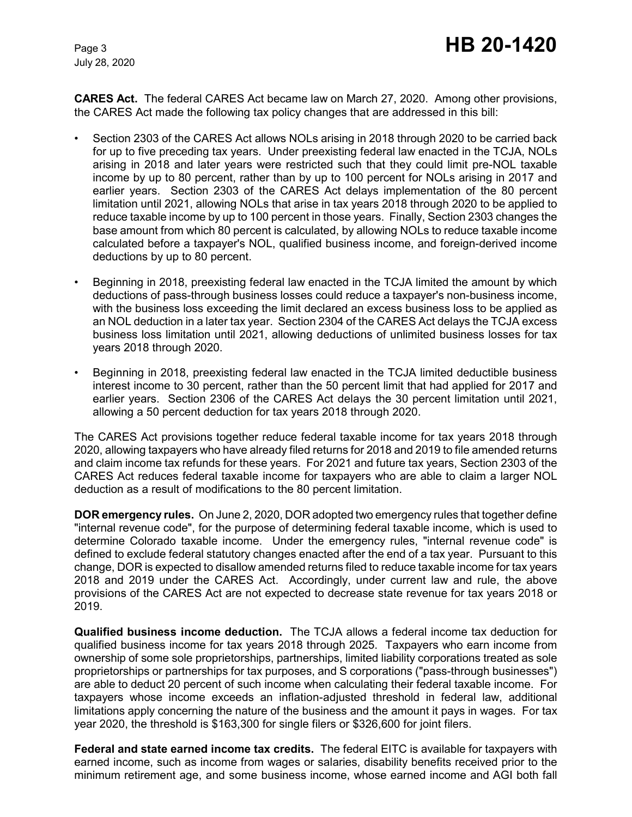**CARES Act.** The federal CARES Act became law on March 27, 2020. Among other provisions, the CARES Act made the following tax policy changes that are addressed in this bill:

- Section 2303 of the CARES Act allows NOLs arising in 2018 through 2020 to be carried back for up to five preceding tax years. Under preexisting federal law enacted in the TCJA, NOLs arising in 2018 and later years were restricted such that they could limit pre-NOL taxable income by up to 80 percent, rather than by up to 100 percent for NOLs arising in 2017 and earlier years. Section 2303 of the CARES Act delays implementation of the 80 percent limitation until 2021, allowing NOLs that arise in tax years 2018 through 2020 to be applied to reduce taxable income by up to 100 percent in those years. Finally, Section 2303 changes the base amount from which 80 percent is calculated, by allowing NOLs to reduce taxable income calculated before a taxpayer's NOL, qualified business income, and foreign-derived income deductions by up to 80 percent.
- Beginning in 2018, preexisting federal law enacted in the TCJA limited the amount by which deductions of pass-through business losses could reduce a taxpayer's non-business income, with the business loss exceeding the limit declared an excess business loss to be applied as an NOL deduction in a later tax year. Section 2304 of the CARES Act delays the TCJA excess business loss limitation until 2021, allowing deductions of unlimited business losses for tax years 2018 through 2020.
- Beginning in 2018, preexisting federal law enacted in the TCJA limited deductible business interest income to 30 percent, rather than the 50 percent limit that had applied for 2017 and earlier years. Section 2306 of the CARES Act delays the 30 percent limitation until 2021, allowing a 50 percent deduction for tax years 2018 through 2020.

The CARES Act provisions together reduce federal taxable income for tax years 2018 through 2020, allowing taxpayers who have already filed returns for 2018 and 2019 to file amended returns and claim income tax refunds for these years. For 2021 and future tax years, Section 2303 of the CARES Act reduces federal taxable income for taxpayers who are able to claim a larger NOL deduction as a result of modifications to the 80 percent limitation.

**DOR emergency rules.** On June 2, 2020, DOR adopted two emergency rules that together define "internal revenue code", for the purpose of determining federal taxable income, which is used to determine Colorado taxable income. Under the emergency rules, "internal revenue code" is defined to exclude federal statutory changes enacted after the end of a tax year. Pursuant to this change, DOR is expected to disallow amended returns filed to reduce taxable income for tax years 2018 and 2019 under the CARES Act. Accordingly, under current law and rule, the above provisions of the CARES Act are not expected to decrease state revenue for tax years 2018 or 2019.

**Qualified business income deduction.** The TCJA allows a federal income tax deduction for qualified business income for tax years 2018 through 2025. Taxpayers who earn income from ownership of some sole proprietorships, partnerships, limited liability corporations treated as sole proprietorships or partnerships for tax purposes, and S corporations ("pass-through businesses") are able to deduct 20 percent of such income when calculating their federal taxable income. For taxpayers whose income exceeds an inflation-adjusted threshold in federal law, additional limitations apply concerning the nature of the business and the amount it pays in wages. For tax year 2020, the threshold is \$163,300 for single filers or \$326,600 for joint filers.

**Federal and state earned income tax credits.** The federal EITC is available for taxpayers with earned income, such as income from wages or salaries, disability benefits received prior to the minimum retirement age, and some business income, whose earned income and AGI both fall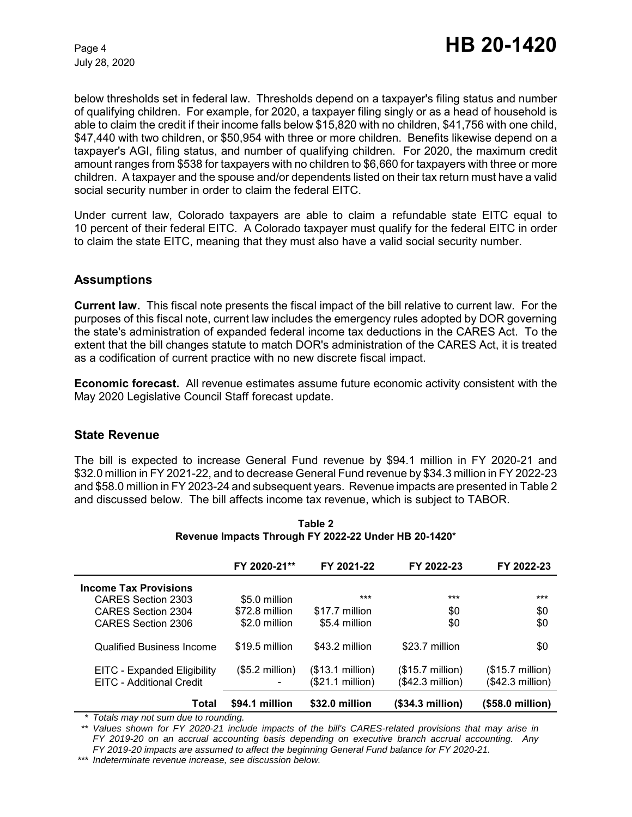below thresholds set in federal law. Thresholds depend on a taxpayer's filing status and number of qualifying children. For example, for 2020, a taxpayer filing singly or as a head of household is able to claim the credit if their income falls below \$15,820 with no children, \$41,756 with one child, \$47,440 with two children, or \$50,954 with three or more children. Benefits likewise depend on a taxpayer's AGI, filing status, and number of qualifying children. For 2020, the maximum credit amount ranges from \$538 for taxpayers with no children to \$6,660 for taxpayers with three or more children. A taxpayer and the spouse and/or dependents listed on their tax return must have a valid social security number in order to claim the federal EITC.

Under current law, Colorado taxpayers are able to claim a refundable state EITC equal to 10 percent of their federal EITC. A Colorado taxpayer must qualify for the federal EITC in order to claim the state EITC, meaning that they must also have a valid social security number.

## **Assumptions**

**Current law.** This fiscal note presents the fiscal impact of the bill relative to current law. For the purposes of this fiscal note, current law includes the emergency rules adopted by DOR governing the state's administration of expanded federal income tax deductions in the CARES Act. To the extent that the bill changes statute to match DOR's administration of the CARES Act, it is treated as a codification of current practice with no new discrete fiscal impact.

**Economic forecast.** All revenue estimates assume future economic activity consistent with the May 2020 Legislative Council Staff forecast update.

### **State Revenue**

The bill is expected to increase General Fund revenue by \$94.1 million in FY 2020-21 and \$32.0 million in FY 2021-22, and to decrease General Fund revenue by \$34.3 million in FY 2022-23 and \$58.0 million in FY 2023-24 and subsequent years. Revenue impacts are presented in Table 2 and discussed below. The bill affects income tax revenue, which is subject to TABOR.

|                                  | FY 2020-21**             | FY 2021-22       | FY 2022-23                | FY 2022-23                |
|----------------------------------|--------------------------|------------------|---------------------------|---------------------------|
| <b>Income Tax Provisions</b>     |                          |                  |                           |                           |
| CARES Section 2303               | \$5.0 million            | ***              | ***                       | ***                       |
| CARES Section 2304               | \$72.8 million           | \$17.7 million   | \$0                       | \$0                       |
| CARES Section 2306               | \$2.0 million            | \$5.4 million    | \$0                       | \$0                       |
| <b>Qualified Business Income</b> | \$19.5 million           | \$43.2 million   | \$23.7 million            | \$0                       |
| EITC - Expanded Eligibility      | $($5.2 \text{ million})$ | (\$13.1 million) | $($15.7 \text{ million})$ | $($15.7 \text{ million})$ |
| EITC - Additional Credit         |                          | (\$21.1 million) | (\$42.3 million)          | (\$42.3 million)          |
| Total                            | \$94.1 million           | \$32.0 million   | (\$34.3 million)          | (\$58.0 million)          |

**Table 2 Revenue Impacts Through FY 2022-22 Under HB 20-1420**\*

*\* Totals may not sum due to rounding.*

*\*\* Values shown for FY 2020-21 include impacts of the bill's CARES-related provisions that may arise in FY 2019-20 on an accrual accounting basis depending on executive branch accrual accounting. Any FY 2019-20 impacts are assumed to affect the beginning General Fund balance for FY 2020-21.*

*\*\*\* Indeterminate revenue increase, see discussion below.*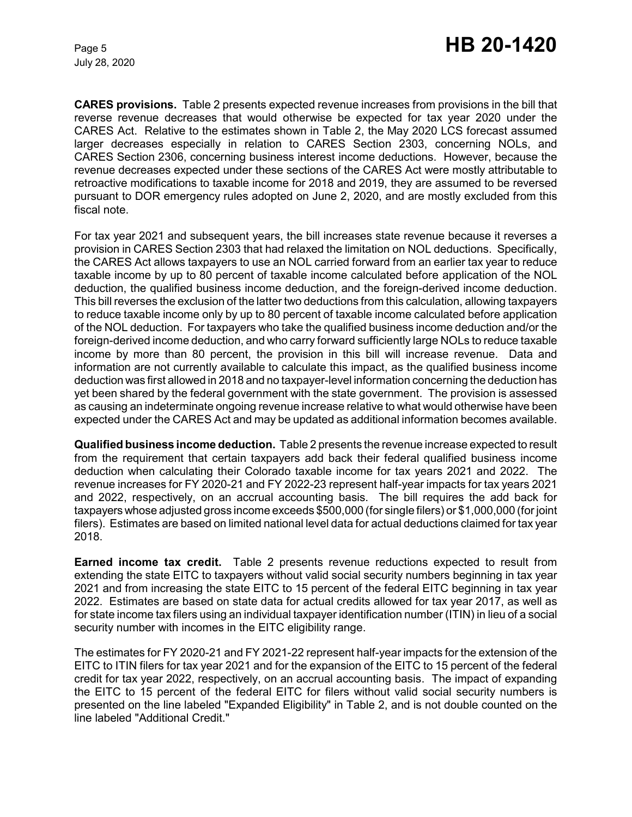**CARES provisions.** Table 2 presents expected revenue increases from provisions in the bill that reverse revenue decreases that would otherwise be expected for tax year 2020 under the CARES Act. Relative to the estimates shown in Table 2, the May 2020 LCS forecast assumed larger decreases especially in relation to CARES Section 2303, concerning NOLs, and CARES Section 2306, concerning business interest income deductions. However, because the revenue decreases expected under these sections of the CARES Act were mostly attributable to retroactive modifications to taxable income for 2018 and 2019, they are assumed to be reversed pursuant to DOR emergency rules adopted on June 2, 2020, and are mostly excluded from this fiscal note.

For tax year 2021 and subsequent years, the bill increases state revenue because it reverses a provision in CARES Section 2303 that had relaxed the limitation on NOL deductions. Specifically, the CARES Act allows taxpayers to use an NOL carried forward from an earlier tax year to reduce taxable income by up to 80 percent of taxable income calculated before application of the NOL deduction, the qualified business income deduction, and the foreign-derived income deduction. This bill reverses the exclusion of the latter two deductions from this calculation, allowing taxpayers to reduce taxable income only by up to 80 percent of taxable income calculated before application of the NOL deduction. For taxpayers who take the qualified business income deduction and/or the foreign-derived income deduction, and who carry forward sufficiently large NOLs to reduce taxable income by more than 80 percent, the provision in this bill will increase revenue. Data and information are not currently available to calculate this impact, as the qualified business income deduction was first allowed in 2018 and no taxpayer-level information concerning the deduction has yet been shared by the federal government with the state government. The provision is assessed as causing an indeterminate ongoing revenue increase relative to what would otherwise have been expected under the CARES Act and may be updated as additional information becomes available.

**Qualified business income deduction.** Table 2 presents the revenue increase expected to result from the requirement that certain taxpayers add back their federal qualified business income deduction when calculating their Colorado taxable income for tax years 2021 and 2022. The revenue increases for FY 2020-21 and FY 2022-23 represent half-year impacts for tax years 2021 and 2022, respectively, on an accrual accounting basis. The bill requires the add back for taxpayers whose adjusted gross income exceeds \$500,000 (for single filers) or \$1,000,000 (for joint filers). Estimates are based on limited national level data for actual deductions claimed for tax year 2018.

**Earned income tax credit.** Table 2 presents revenue reductions expected to result from extending the state EITC to taxpayers without valid social security numbers beginning in tax year 2021 and from increasing the state EITC to 15 percent of the federal EITC beginning in tax year 2022. Estimates are based on state data for actual credits allowed for tax year 2017, as well as for state income tax filers using an individual taxpayer identification number (ITIN) in lieu of a social security number with incomes in the EITC eligibility range.

The estimates for FY 2020-21 and FY 2021-22 represent half-year impacts for the extension of the EITC to ITIN filers for tax year 2021 and for the expansion of the EITC to 15 percent of the federal credit for tax year 2022, respectively, on an accrual accounting basis. The impact of expanding the EITC to 15 percent of the federal EITC for filers without valid social security numbers is presented on the line labeled "Expanded Eligibility" in Table 2, and is not double counted on the line labeled "Additional Credit."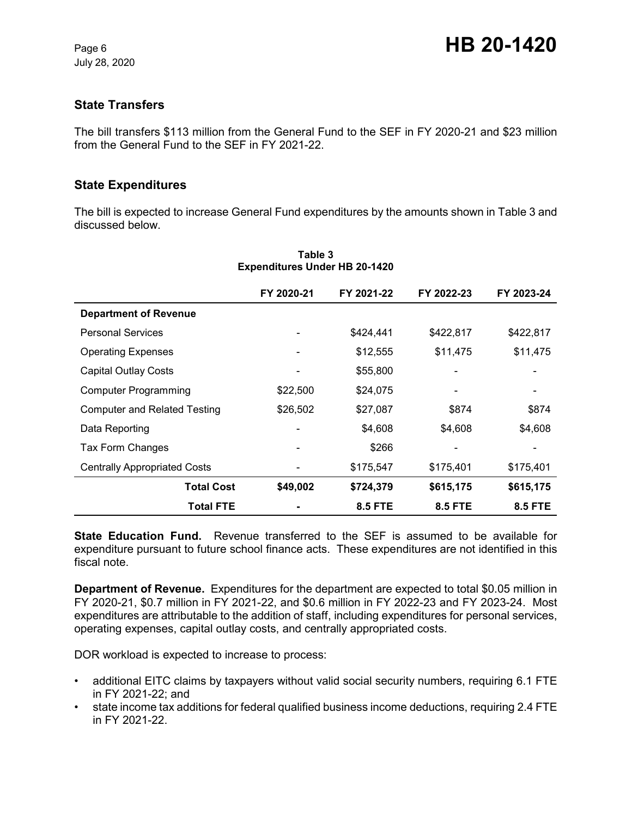## **State Transfers**

The bill transfers \$113 million from the General Fund to the SEF in FY 2020-21 and \$23 million from the General Fund to the SEF in FY 2021-22.

### **State Expenditures**

The bill is expected to increase General Fund expenditures by the amounts shown in Table 3 and discussed below.

|                                     | FY 2020-21 | FY 2021-22     | FY 2022-23     | FY 2023-24     |
|-------------------------------------|------------|----------------|----------------|----------------|
| <b>Department of Revenue</b>        |            |                |                |                |
| <b>Personal Services</b>            |            | \$424,441      | \$422,817      | \$422,817      |
| <b>Operating Expenses</b>           |            | \$12,555       | \$11,475       | \$11,475       |
| <b>Capital Outlay Costs</b>         |            | \$55,800       |                |                |
| <b>Computer Programming</b>         | \$22,500   | \$24,075       |                |                |
| <b>Computer and Related Testing</b> | \$26,502   | \$27,087       | \$874          | \$874          |
| Data Reporting                      |            | \$4,608        | \$4,608        | \$4,608        |
| Tax Form Changes                    |            | \$266          |                |                |
| <b>Centrally Appropriated Costs</b> |            | \$175,547      | \$175,401      | \$175,401      |
| <b>Total Cost</b>                   | \$49,002   | \$724,379      | \$615,175      | \$615,175      |
| <b>Total FTE</b>                    |            | <b>8.5 FTE</b> | <b>8.5 FTE</b> | <b>8.5 FTE</b> |

#### **Table 3 Expenditures Under HB 20-1420**

**State Education Fund.** Revenue transferred to the SEF is assumed to be available for expenditure pursuant to future school finance acts. These expenditures are not identified in this fiscal note.

**Department of Revenue.** Expenditures for the department are expected to total \$0.05 million in FY 2020-21, \$0.7 million in FY 2021-22, and \$0.6 million in FY 2022-23 and FY 2023-24. Most expenditures are attributable to the addition of staff, including expenditures for personal services, operating expenses, capital outlay costs, and centrally appropriated costs.

DOR workload is expected to increase to process:

- additional EITC claims by taxpayers without valid social security numbers, requiring 6.1 FTE in FY 2021-22; and
- state income tax additions for federal qualified business income deductions, requiring 2.4 FTE in FY 2021-22.